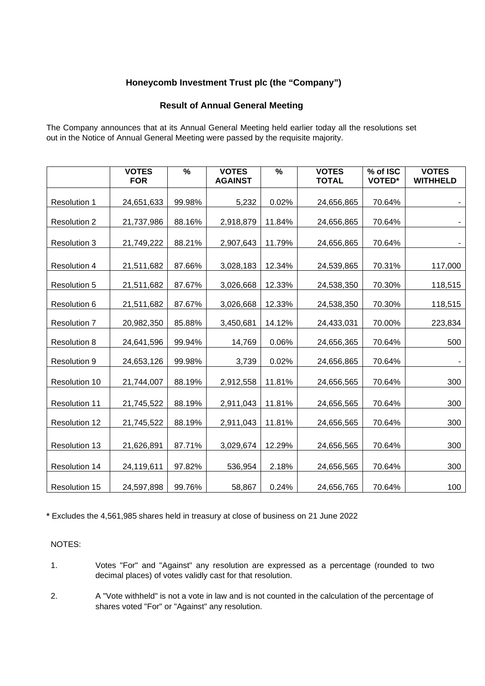## **Honeycomb Investment Trust plc (the "Company")**

## **Result of Annual General Meeting**

The Company announces that at its Annual General Meeting held earlier today all the resolutions set out in the Notice of Annual General Meeting were passed by the requisite majority.

|                      | <b>VOTES</b><br><b>FOR</b> | $\frac{9}{6}$ | <b>VOTES</b><br><b>AGAINST</b> | $\frac{9}{6}$ | <b>VOTES</b><br><b>TOTAL</b> | % of ISC<br><b>VOTED*</b> | <b>VOTES</b><br><b>WITHHELD</b> |
|----------------------|----------------------------|---------------|--------------------------------|---------------|------------------------------|---------------------------|---------------------------------|
| <b>Resolution 1</b>  | 24,651,633                 | 99.98%        | 5,232                          | 0.02%         | 24,656,865                   | 70.64%                    |                                 |
| <b>Resolution 2</b>  | 21,737,986                 | 88.16%        | 2,918,879                      | 11.84%        | 24,656,865                   | 70.64%                    |                                 |
| <b>Resolution 3</b>  | 21,749,222                 | 88.21%        | 2,907,643                      | 11.79%        | 24,656,865                   | 70.64%                    |                                 |
| <b>Resolution 4</b>  | 21,511,682                 | 87.66%        | 3,028,183                      | 12.34%        | 24,539,865                   | 70.31%                    | 117,000                         |
| <b>Resolution 5</b>  | 21,511,682                 | 87.67%        | 3,026,668                      | 12.33%        | 24,538,350                   | 70.30%                    | 118,515                         |
| <b>Resolution 6</b>  | 21,511,682                 | 87.67%        | 3,026,668                      | 12.33%        | 24,538,350                   | 70.30%                    | 118,515                         |
| <b>Resolution 7</b>  | 20,982,350                 | 85.88%        | 3,450,681                      | 14.12%        | 24,433,031                   | 70.00%                    | 223,834                         |
| <b>Resolution 8</b>  | 24,641,596                 | 99.94%        | 14,769                         | 0.06%         | 24,656,365                   | 70.64%                    | 500                             |
| <b>Resolution 9</b>  | 24,653,126                 | 99.98%        | 3,739                          | 0.02%         | 24,656,865                   | 70.64%                    |                                 |
| Resolution 10        | 21,744,007                 | 88.19%        | 2,912,558                      | 11.81%        | 24,656,565                   | 70.64%                    | 300                             |
| Resolution 11        | 21,745,522                 | 88.19%        | 2,911,043                      | 11.81%        | 24,656,565                   | 70.64%                    | 300                             |
| <b>Resolution 12</b> | 21,745,522                 | 88.19%        | 2,911,043                      | 11.81%        | 24,656,565                   | 70.64%                    | 300                             |
| Resolution 13        | 21,626,891                 | 87.71%        | 3,029,674                      | 12.29%        | 24,656,565                   | 70.64%                    | 300                             |
| Resolution 14        | 24,119,611                 | 97.82%        | 536,954                        | 2.18%         | 24,656,565                   | 70.64%                    | 300                             |
| Resolution 15        | 24,597,898                 | 99.76%        | 58,867                         | 0.24%         | 24,656,765                   | 70.64%                    | 100                             |

**\*** Excludes the 4,561,985 shares held in treasury at close of business on 21 June 2022

#### NOTES:

- 1. Votes "For" and "Against" any resolution are expressed as a percentage (rounded to two decimal places) of votes validly cast for that resolution.
- 2. A "Vote withheld" is not a vote in law and is not counted in the calculation of the percentage of shares voted "For" or "Against" any resolution.